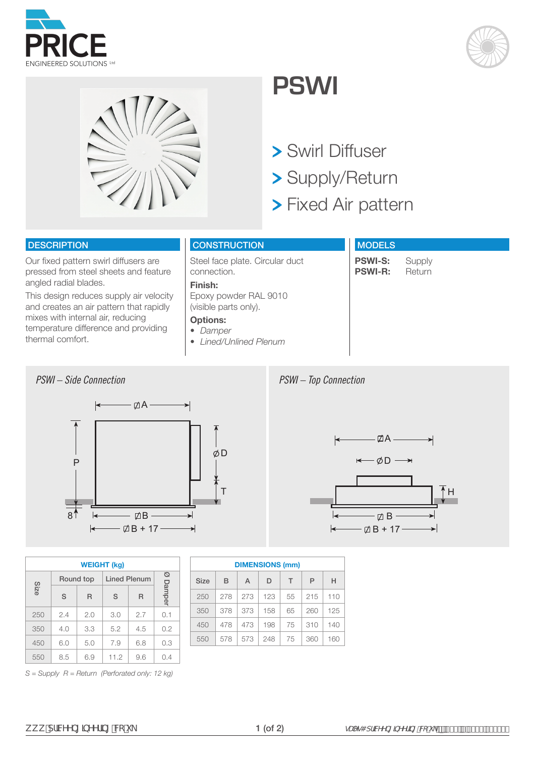





# **PSWI**

- Swirl Diffuser
- Supply/Return
- **> Fixed Air pattern**

## **DESCRIPTION**

Our fixed pattern swirl diffusers are pressed from steel sheets and feature angled radial blades.

This design reduces supply air velocity and creates an air pattern that rapidly mixes with internal air, reducing temperature difference and providing thermal comfort.

# **CONSTRUCTION**

Steel face plate. Circular duct connection.

#### **Finish:**

Epoxy powder RAL 9010 (visible parts only).

#### **Options:**

*• Damper*

*• Lined/Unlined Plenum*

# **MODELS**

**PSWI-S:** Supply<br>**PSWI-R:** Return **PSWI-R:** 



| <b>WEIGHT (kg)</b> |           |     |                     |     |        |  |  |  |  |  |  |
|--------------------|-----------|-----|---------------------|-----|--------|--|--|--|--|--|--|
|                    | Round top |     | <b>Lined Plenum</b> | Ø   |        |  |  |  |  |  |  |
| Size               | S         | R   | S                   | R   | Damper |  |  |  |  |  |  |
| 250                | 2.4       | 2.0 | 3.0                 | 2.7 | 0.1    |  |  |  |  |  |  |
| 350                | 4.0       | 3.3 | 5.2                 | 4.5 | 0.2    |  |  |  |  |  |  |
| 450                | 6.0       | 5.0 | 7.9                 | 6.8 | 0.3    |  |  |  |  |  |  |
| 550                | 8.5       | 6.9 | 11.2                | 9.6 | 0.4    |  |  |  |  |  |  |

| <b>DIMENSIONS (mm)</b> |     |     |     |    |     |     |  |  |  |  |  |
|------------------------|-----|-----|-----|----|-----|-----|--|--|--|--|--|
| <b>Size</b>            | B   | A   | D   | Т  | P   | н   |  |  |  |  |  |
| 250                    | 278 | 273 | 123 | 55 | 215 | 110 |  |  |  |  |  |
| 350                    | 378 | 373 | 158 | 65 | 260 | 125 |  |  |  |  |  |
| 450                    | 478 | 473 | 198 | 75 | 310 | 140 |  |  |  |  |  |
| 550                    | 578 | 573 | 248 | 75 | 360 | 160 |  |  |  |  |  |

*PSWI – Top Connection*



*S = Supply R = Return (Perforated only: 12 kg)*